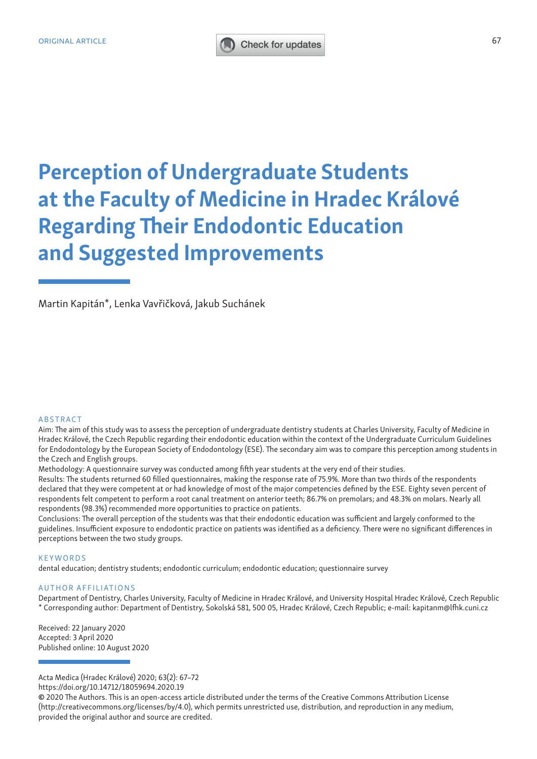## ORIGINAL ARTICLE 67

# Perception of Undergraduate Students at the Faculty of Medicine in Hradec Králové Regarding Their Endodontic Education and Suggested Improvements

Martin Kapitán\*, Lenka Vavřičková, Jakub Suchánek

### ABSTRACT

Aim: The aim of this study was to assess the perception of undergraduate dentistry students at Charles University, Faculty of Medicine in Hradec Králové, the Czech Republic regarding their endodontic education within the context of the Undergraduate Curriculum Guidelines for Endodontology by the European Society of Endodontology (ESE). The secondary aim was to compare this perception among students in the Czech and English groups.

Methodology: A questionnaire survey was conducted among fifth year students at the very end of their studies.

Results: The students returned 60 filled questionnaires, making the response rate of 75.9%. More than two thirds of the respondents declared that they were competent at or had knowledge of most of the major competencies defined by the ESE. Eighty seven percent of respondents felt competent to perform a root canal treatment on anterior teeth; 86.7% on premolars; and 48.3% on molars. Nearly all respondents (98.3%) recommended more opportunities to practice on patients.

Conclusions: The overall perception of the students was that their endodontic education was sufficient and largely conformed to the guidelines. Insufficient exposure to endodontic practice on patients was identified as a deficiency. There were no significant differences in perceptions between the two study groups.

#### **KEYWORDS**

dental education; dentistry students; endodontic curriculum; endodontic education; questionnaire survey

## AUTHOR AFFILIATIONS

Department of Dentistry, Charles University, Faculty of Medicine in Hradec Králové, and University Hospital Hradec Králové, Czech Republic \* Corresponding author: Department of Dentistry, Sokolská 581, 500 05, Hradec Králové, Czech Republic; e-mail: kapitanm@lfhk.cuni.cz

Received: 22 January 2020 Accepted: 3 April 2020 Published online: 10 August 2020

Acta Medica (Hradec Králové) 2020; 63(2): 67–72

https://doi.org/10.14712/18059694.2020.19

<sup>©</sup> 2020 The Authors. This is an open-access article distributed under the terms of the Creative Commons Attribution License (http://creativecommons.org/licenses/by/4.0), which permits unrestricted use, distribution, and reproduction in any medium, provided the original author and source are credited.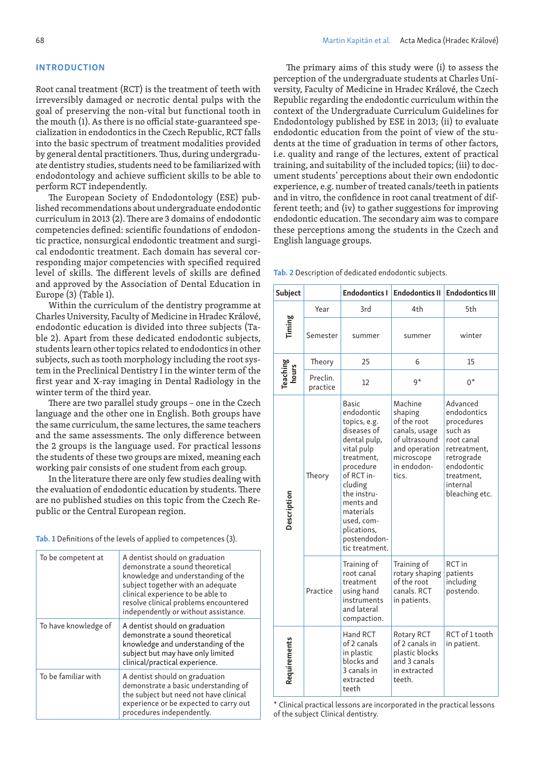## INTRODUCTION

Root canal treatment (RCT) is the treatment of teeth with irreversibly damaged or necrotic dental pulps with the goal of preserving the non-vital but functional tooth in the mouth (1). As there is no official state-guaranteed specialization in endodontics in the Czech Republic, RCT falls into the basic spectrum of treatment modalities provided by general dental practitioners. Thus, during undergraduate dentistry studies, students need to be familiarized with endodontology and achieve sufficient skills to be able to perform RCT independently.

The European Society of Endodontology (ESE) published recommendations about undergraduate endodontic curriculum in 2013 (2). There are 3 domains of endodontic competencies defined: scientific foundations of endodontic practice, nonsurgical endodontic treatment and surgical endodontic treatment. Each domain has several corresponding major competencies with specified required level of skills. The different levels of skills are defined and approved by the Association of Dental Education in Europe (3) (Table 1).

Within the curriculum of the dentistry programme at Charles University, Faculty of Medicine in Hradec Králové, endodontic education is divided into three subjects (Table 2). Apart from these dedicated endodontic subjects, students learn other topics related to endodontics in other subjects, such as tooth morphology including the root system in the Preclinical Dentistry I in the winter term of the first year and X-ray imaging in Dental Radiology in the winter term of the third year.

There are two parallel study groups – one in the Czech language and the other one in English. Both groups have the same curriculum, the same lectures, the same teachers and the same assessments. The only difference between the 2 groups is the language used. For practical lessons the students of these two groups are mixed, meaning each working pair consists of one student from each group.

In the literature there are only few studies dealing with the evaluation of endodontic education by students. There are no published studies on this topic from the Czech Republic or the Central European region.

Tab. 1 Definitions of the levels of applied to competences (3).

| To be competent at   | A dentist should on graduation<br>demonstrate a sound theoretical<br>knowledge and understanding of the<br>subject together with an adequate<br>clinical experience to be able to<br>resolve clinical problems encountered<br>independently or without assistance. |
|----------------------|--------------------------------------------------------------------------------------------------------------------------------------------------------------------------------------------------------------------------------------------------------------------|
| To have knowledge of | A dentist should on graduation<br>demonstrate a sound theoretical<br>knowledge and understanding of the<br>subject but may have only limited<br>clinical/practical experience.                                                                                     |
| To be familiar with  | A dentist should on graduation<br>demonstrate a basic understanding of<br>the subject but need not have clinical<br>experience or be expected to carry out<br>procedures independently.                                                                            |

The primary aims of this study were (i) to assess the perception of the undergraduate students at Charles University, Faculty of Medicine in Hradec Králové, the Czech Republic regarding the endodontic curriculum within the context of the Undergraduate Curriculum Guidelines for Endodontology published by ESE in 2013; (ii) to evaluate endodontic education from the point of view of the students at the time of graduation in terms of other factors, i.e. quality and range of the lectures, extent of practical training, and suitability of the included topics; (iii) to document students' perceptions about their own endodontic experience, e.g. number of treated canals/teeth in patients and in vitro, the confidence in root canal treatment of different teeth; and (iv) to gather suggestions for improving endodontic education. The secondary aim was to compare these perceptions among the students in the Czech and English language groups.

Tab. 2 Description of dedicated endodontic subjects.

| <b>Subject</b> |                      | <b>Endodontics I</b>                                                                                                                                                                                                                                | <b>Endodontics II</b>                                                                                                      | <b>Endodontics III</b>                                                                                                                                 |
|----------------|----------------------|-----------------------------------------------------------------------------------------------------------------------------------------------------------------------------------------------------------------------------------------------------|----------------------------------------------------------------------------------------------------------------------------|--------------------------------------------------------------------------------------------------------------------------------------------------------|
|                | Year                 | 3rd                                                                                                                                                                                                                                                 | 4th                                                                                                                        | 5th                                                                                                                                                    |
| Timing         | Semester             | summer                                                                                                                                                                                                                                              | summer                                                                                                                     | winter                                                                                                                                                 |
|                | Theory               | 25                                                                                                                                                                                                                                                  | 6                                                                                                                          | 15                                                                                                                                                     |
| Teaching       | Preclin.<br>practice | 12                                                                                                                                                                                                                                                  | $9*$                                                                                                                       | $0^*$                                                                                                                                                  |
| Description    | Theory               | <b>Basic</b><br>endodontic<br>topics, e.g.<br>diseases of<br>dental pulp,<br>vital pulp<br>treatment,<br>procedure<br>of RCT in-<br>cluding<br>the instru-<br>ments and<br>materials<br>used, com-<br>plications,<br>postendodon-<br>tic treatment. | Machine<br>shaping<br>of the root<br>canals, usage<br>of ultrasound<br>and operation<br>microscope<br>in endodon-<br>tics. | Advanced<br>endodontics<br>procedures<br>such as<br>root canal<br>retreatment,<br>retrograde<br>endodontic<br>treatment.<br>internal<br>bleaching etc. |
|                | Practice             | Training of<br>root canal<br>treatment<br>using hand<br>instruments<br>and lateral<br>compaction.                                                                                                                                                   | Training of<br>rotary shaping<br>of the root<br>canals. RCT<br>in patients.                                                | RCT in<br>patients<br>including<br>postendo.                                                                                                           |
| Requirements   |                      | Hand RCT<br>of 2 canals<br>in plastic<br>blocks and<br>3 canals in<br>extracted<br>teeth                                                                                                                                                            | <b>Rotary RCT</b><br>of 2 canals in<br>plastic blocks<br>and 3 canals<br>in extracted<br>teeth.                            | RCT of 1 tooth<br>in patient.                                                                                                                          |

\* Clinical practical lessons are incorporated in the practical lessons of the subject Clinical dentistry.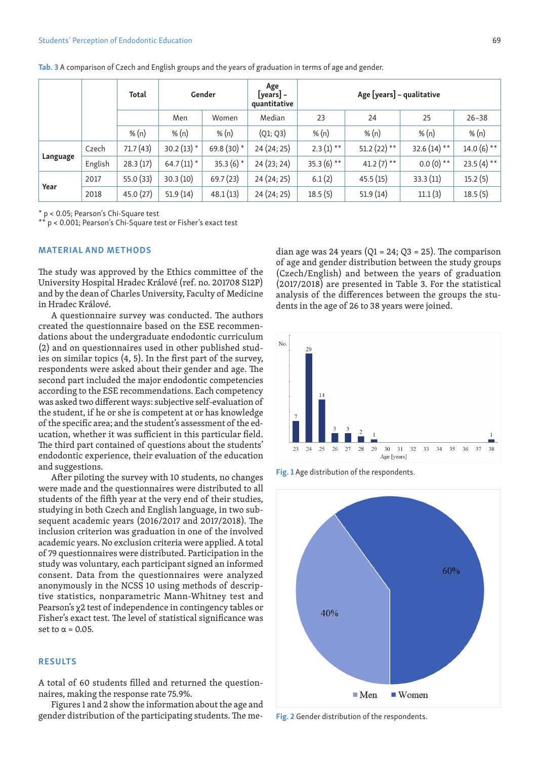|          | Total   |          | Gender       |               | Age<br>[years] –<br>quantitative | Age [years] - qualitative |                |               |              |
|----------|---------|----------|--------------|---------------|----------------------------------|---------------------------|----------------|---------------|--------------|
|          |         |          | Men          | Women         | Median                           | 23                        | 24             | 25            | $26 - 38$    |
|          |         | % $(n)$  | % $(n)$      | % $(n)$       | (Q1; Q3)                         | % $(n)$                   | % $(n)$        | % $(n)$       | % $(n)$      |
| Language | Czech   | 71.7(43) | $30.2(13)$ * | 69.8 $(30)$ * | 24 (24; 25)                      | $2.3(1)$ **               | 51.2 $(22)$ ** | $32.6(14)$ ** | $14.0(6)$ ** |
|          | English | 28.3(17) | $64.7(11)$ * | $35.3(6)$ *   | 24(23; 24)                       | $35.3(6)$ **              | $41.2(7)$ **   | $0.0(0)$ **   | $23.5(4)$ ** |
| Year     | 2017    | 55.0(33) | 30.3(10)     | 69.7(23)      | 24 (24; 25)                      | 6.1(2)                    | 45.5(15)       | 33.3(11)      | 15.2(5)      |
|          | 2018    | 45.0(27) | 51.9(14)     | 48.1(13)      | 24 (24; 25)                      | 18.5(5)                   | 51.9(14)       | 11.1(3)       | 18.5(5)      |

Tab. 3 A comparison of Czech and English groups and the years of graduation in terms of age and gender.

\* p < 0.05; Pearson's Chi-Square test

p < 0.001; Pearson's Chi-Square test or Fisher's exact test

## MATERIAL AND METHODS

The study was approved by the Ethics committee of the University Hospital Hradec Králové (ref. no. 201708 S12P) and by the dean of Charles University, Faculty of Medicine in Hradec Králové.

A questionnaire survey was conducted. The authors created the questionnaire based on the ESE recommendations about the undergraduate endodontic curriculum (2) and on questionnaires used in other published studies on similar topics (4, 5). In the first part of the survey, respondents were asked about their gender and age. The second part included the major endodontic competencies according to the ESE recommendations. Each competency was asked two different ways: subjective self-evaluation of the student, if he or she is competent at or has knowledge of the specific area; and the student's assessment of the education, whether it was sufficient in this particular field. The third part contained of questions about the students' endodontic experience, their evaluation of the education and suggestions.

After piloting the survey with 10 students, no changes were made and the questionnaires were distributed to all students of the fifth year at the very end of their studies, studying in both Czech and English language, in two subsequent academic years (2016/2017 and 2017/2018). The inclusion criterion was graduation in one of the involved academic years. No exclusion criteria were applied. A total of 79 questionnaires were distributed. Participation in the study was voluntary, each participant signed an informed consent. Data from the questionnaires were analyzed anonymously in the NCSS 10 using methods of descriptive statistics, nonparametric Mann-Whitney test and Pearson's χ2 test of independence in contingency tables or Fisher's exact test. The level of statistical significance was set to  $\alpha$  = 0.05.

## RESULTS

A total of 60 students filled and returned the questionnaires, making the response rate 75.9%.

Figures 1 and 2 show the information about the age and gender distribution of the participating students. The median age was 24 years ( $Q1 = 24$ ;  $Q3 = 25$ ). The comparison of age and gender distribution between the study groups (Czech/English) and between the years of graduation (2017/2018) are presented in Table 3. For the statistical analysis of the differences between the groups the students in the age of 26 to 38 years were joined.



Fig. 1 Age distribution of the respondents.



Fig. 2 Gender distribution of the respondents.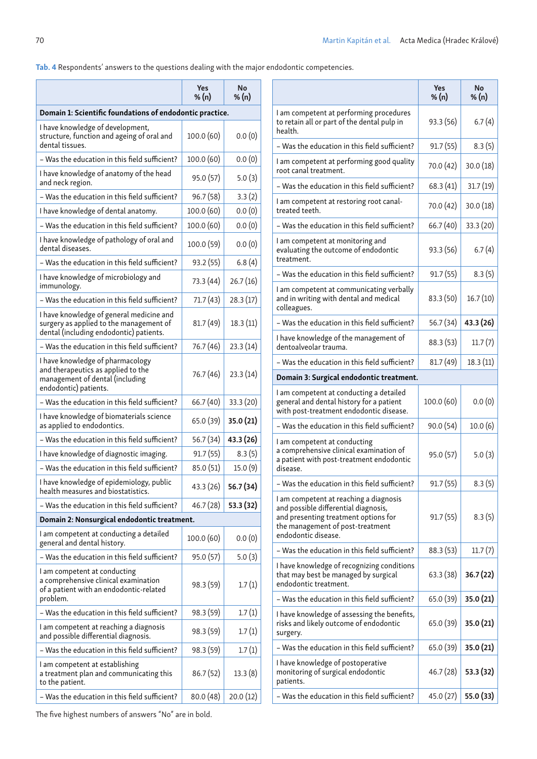Tab. 4 Respondents' answers to the questions dealing with the major endodontic competencies.

|                                                                                                                                    | <b>Yes</b><br>% (n) | No<br>% $(n)$ |
|------------------------------------------------------------------------------------------------------------------------------------|---------------------|---------------|
| Domain 1: Scientific foundations of endodontic practice.                                                                           |                     |               |
| I have knowledge of development,<br>structure, function and ageing of oral and<br>dental tissues.                                  | 100.0 (60)          | 0.0(0)        |
| - Was the education in this field sufficient?                                                                                      | 100.0 (60)          | 0.0(0)        |
| I have knowledge of anatomy of the head<br>and neck region.                                                                        | 95.0 (57)           | 5.0(3)        |
| - Was the education in this field sufficient?                                                                                      | 96.7 (58)           | 3.3(2)        |
| I have knowledge of dental anatomy.                                                                                                | 100.0 (60)          | 0.0(0)        |
| - Was the education in this field sufficient?                                                                                      | 100.0 (60)          | 0.0(0)        |
| I have knowledge of pathology of oral and<br>dental diseases.                                                                      | 100.0 (59)          | 0.0(0)        |
| - Was the education in this field sufficient?                                                                                      | 93.2 (55)           | 6.8(4)        |
| I have knowledge of microbiology and<br>immunology.                                                                                | 73.3 (44)           | 26.7(16)      |
| - Was the education in this field sufficient?                                                                                      | 71.7 (43)           | 28.3(17)      |
| I have knowledge of general medicine and<br>surgery as applied to the management of<br>dental (including endodontic) patients.     | 81.7 (49)           | 18.3(11)      |
| - Was the education in this field sufficient?                                                                                      | 76.7 (46)           | 23.3(14)      |
| I have knowledge of pharmacology<br>and therapeutics as applied to the<br>management of dental (including<br>endodontic) patients. | 76.7 (46)           | 23.3(14)      |
| - Was the education in this field sufficient?                                                                                      | 66.7 (40)           | 33.3(20)      |
| I have knowledge of biomaterials science<br>as applied to endodontics.                                                             | 65.0 (39)           | 35.0 (21)     |
| - Was the education in this field sufficient?                                                                                      | 56.7 (34)           | 43.3 (26)     |
| I have knowledge of diagnostic imaging.                                                                                            | 91.7(55)            | 8.3(5)        |
| - Was the education in this field sufficient?                                                                                      | 85.0 (51)           | 15.0(9)       |
| I have knowledge of epidemiology, public<br>health measures and biostatistics.                                                     | 43.3 (26)           | 56.7 (34)     |
| - Was the education in this field sufficient?                                                                                      | 46.7 (28)           | 53.3 (32)     |
| Domain 2: Nonsurgical endodontic treatment.                                                                                        |                     |               |
| I am competent at conducting a detailed<br>general and dental history.                                                             | 100.0 (60)          | 0.0(0)        |
| - Was the education in this field sufficient?                                                                                      | 95.0 (57)           | 5.0(3)        |
| I am competent at conducting<br>a comprehensive clinical examination<br>of a patient with an endodontic-related<br>problem.        | 98.3 (59)           | 1.7(1)        |
| – Was the education in this field sufficient?                                                                                      | 98.3 (59)           | 1.7(1)        |
| I am competent at reaching a diagnosis<br>and possible differential diagnosis.                                                     | 98.3 (59)           | 1.7(1)        |
| - Was the education in this field sufficient?                                                                                      | 98.3 (59)           | 1.7(1)        |
| I am competent at establishing<br>a treatment plan and communicating this<br>to the patient.                                       | 86.7(52)            | 13.3(8)       |
| - Was the education in this field sufficient?                                                                                      | 80.0 (48)           | 20.0(12)      |

|                                                                                                                                                                                   | Yes<br>% (n) | <b>No</b><br>% $(n)$ |
|-----------------------------------------------------------------------------------------------------------------------------------------------------------------------------------|--------------|----------------------|
| I am competent at performing procedures<br>to retain all or part of the dental pulp in<br>health.                                                                                 | 93.3 (56)    | 6.7(4)               |
| – Was the education in this field sufficient?                                                                                                                                     | 91.7(55)     | 8.3(5)               |
| I am competent at performing good quality<br>root canal treatment.                                                                                                                | 70.0 (42)    | 30.0(18)             |
| – Was the education in this field sufficient?                                                                                                                                     | 68.3(41)     | 31.7(19)             |
| I am competent at restoring root canal-<br>treated teeth.                                                                                                                         | 70.0 (42)    | 30.0(18)             |
| - Was the education in this field sufficient?                                                                                                                                     | 66.7(40)     | 33.3 (20)            |
| I am competent at monitoring and<br>evaluating the outcome of endodontic<br>treatment.                                                                                            | 93.3 (56)    | 6.7(4)               |
| - Was the education in this field sufficient?                                                                                                                                     | 91.7(55)     | 8.3(5)               |
| I am competent at communicating verbally<br>and in writing with dental and medical<br>colleagues.                                                                                 | 83.3 (50)    | 16.7(10)             |
| - Was the education in this field sufficient?                                                                                                                                     | 56.7 (34)    | 43.3 (26)            |
| I have knowledge of the management of<br>dentoalveolar trauma.                                                                                                                    | 88.3 (53)    | 11.7(7)              |
| - Was the education in this field sufficient?                                                                                                                                     | 81.7 (49)    | 18.3(11)             |
| Domain 3: Surgical endodontic treatment.                                                                                                                                          |              |                      |
| I am competent at conducting a detailed<br>general and dental history for a patient<br>with post-treatment endodontic disease.                                                    | 100.0 (60)   | 0.0(0)               |
| - Was the education in this field sufficient?                                                                                                                                     | 90.0(54)     | 10.0(6)              |
| I am competent at conducting<br>a comprehensive clinical examination of<br>a patient with post-treatment endodontic<br>disease.                                                   | 95.0 (57)    | 5.0(3)               |
| – Was the education in this field sufficient?                                                                                                                                     | 91.7 (55)    | 8.3(5)               |
| I am competent at reaching a diagnosis<br>and possible differential diagnosis,<br>and presenting treatment options for<br>the management of post-treatment<br>endodontic disease. | 91.7(55)     | 8.3(5)               |
| – Was the education in this field sufficient?                                                                                                                                     | 88.3(53)     | 11.7(7)              |
| I have knowledge of recognizing conditions<br>that may best be managed by surgical<br>endodontic treatment.                                                                       | 63.3(38)     | 36.7(22)             |
| – Was the education in this field sufficient?                                                                                                                                     | 65.0 (39)    | 35.0 (21)            |
| I have knowledge of assessing the benefits,<br>risks and likely outcome of endodontic<br>surgery.                                                                                 | 65.0 (39)    | 35.0 (21)            |
| – Was the education in this field sufficient?                                                                                                                                     | 65.0 (39)    | 35.0 (21)            |
| I have knowledge of postoperative<br>monitoring of surgical endodontic<br>patients.                                                                                               | 46.7 (28)    | 53.3 (32)            |
| – Was the education in this field sufficient?                                                                                                                                     | 45.0 (27)    | 55.0 (33)            |

The five highest numbers of answers "No" are in bold.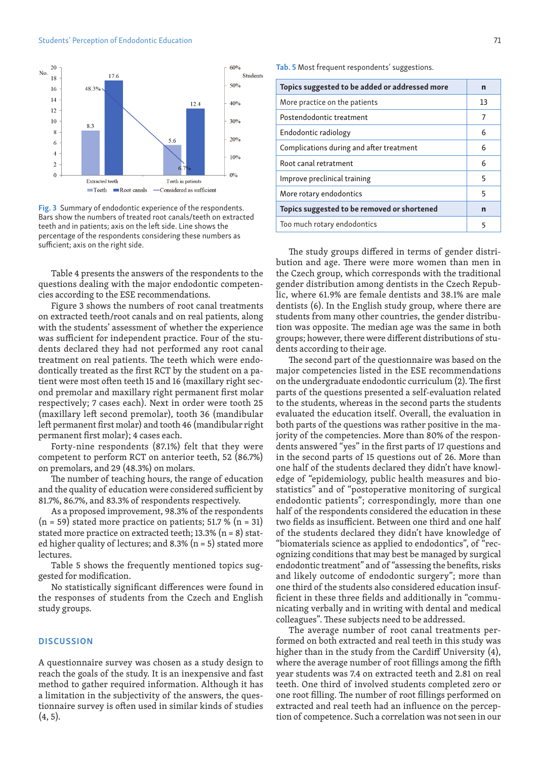#### Students' Perception of Endodontic Education 71



Fig. 3 Summary of endodontic experience of the respondents. Bars show the numbers of treated root canals/teeth on extracted teeth and in patients; axis on the left side. Line shows the percentage of the respondents considering these numbers as sufficient; axis on the right side.

Table 4 presents the answers of the respondents to the questions dealing with the major endodontic competencies according to the ESE recommendations.

Figure 3 shows the numbers of root canal treatments on extracted teeth/root canals and on real patients, along with the students' assessment of whether the experience was sufficient for independent practice. Four of the students declared they had not performed any root canal treatment on real patients. The teeth which were endodontically treated as the first RCT by the student on a patient were most often teeth 15 and 16 (maxillary right second premolar and maxillary right permanent first molar respectively; 7 cases each). Next in order were tooth 25 (maxillary left second premolar), tooth 36 (mandibular left permanent first molar) and tooth 46 (mandibular right permanent first molar); 4 cases each.

Forty-nine respondents (87.1%) felt that they were competent to perform RCT on anterior teeth, 52 (86.7%) on premolars, and 29 (48.3%) on molars.

The number of teaching hours, the range of education and the quality of education were considered sufficient by 81.7%, 86.7%, and 83.3% of respondents respectively.

As a proposed improvement, 98.3% of the respondents  $(n = 59)$  stated more practice on patients; 51.7 %  $(n = 31)$ stated more practice on extracted teeth;  $13.3\%$  (n = 8) stated higher quality of lectures; and 8.3% ( $n = 5$ ) stated more lectures.

Table 5 shows the frequently mentioned topics suggested for modification.

No statistically significant differences were found in the responses of students from the Czech and English study groups.

## **DISCUSSION**

A questionnaire survey was chosen as a study design to reach the goals of the study. It is an inexpensive and fast method to gather required information. Although it has a limitation in the subjectivity of the answers, the questionnaire survey is often used in similar kinds of studies  $(4, 5)$ .

Tab. 5 Most frequent respondents' suggestions.

| Topics suggested to be added or addressed more | n  |
|------------------------------------------------|----|
| More practice on the patients                  | 13 |
| Postendodontic treatment                       | 7  |
| Endodontic radiology                           | 6  |
| Complications during and after treatment       | 6  |
| Root canal retratment                          | 6  |
| Improve preclinical training                   | 5  |
| More rotary endodontics                        | 5  |
| Topics suggested to be removed or shortened    | n  |
| Too much rotary endodontics                    | 5  |

The study groups differed in terms of gender distribution and age. There were more women than men in the Czech group, which corresponds with the traditional gender distribution among dentists in the Czech Republic, where 61.9% are female dentists and 38.1% are male dentists (6). In the English study group, where there are students from many other countries, the gender distribution was opposite. The median age was the same in both groups; however, there were different distributions of students according to their age.

The second part of the questionnaire was based on the major competencies listed in the ESE recommendations on the undergraduate endodontic curriculum (2). The first parts of the questions presented a self-evaluation related to the students, whereas in the second parts the students evaluated the education itself. Overall, the evaluation in both parts of the questions was rather positive in the majority of the competencies. More than 80% of the respondents answered "yes" in the first parts of 17 questions and in the second parts of 15 questions out of 26. More than one half of the students declared they didn't have knowledge of "epidemiology, public health measures and biostatistics" and of "postoperative monitoring of surgical endodontic patients"; correspondingly, more than one half of the respondents considered the education in these two fields as insufficient. Between one third and one half of the students declared they didn't have knowledge of "biomaterials science as applied to endodontics", of "recognizing conditions that may best be managed by surgical endodontic treatment" and of "assessing the benefits, risks and likely outcome of endodontic surgery"; more than one third of the students also considered education insufficient in these three fields and additionally in "communicating verbally and in writing with dental and medical colleagues". These subjects need to be addressed.

The average number of root canal treatments performed on both extracted and real teeth in this study was higher than in the study from the Cardiff University (4), where the average number of root fillings among the fifth year students was 7.4 on extracted teeth and 2.81 on real teeth. One third of involved students completed zero or one root filling. The number of root fillings performed on extracted and real teeth had an influence on the perception of competence. Such a correlation was not seen in our